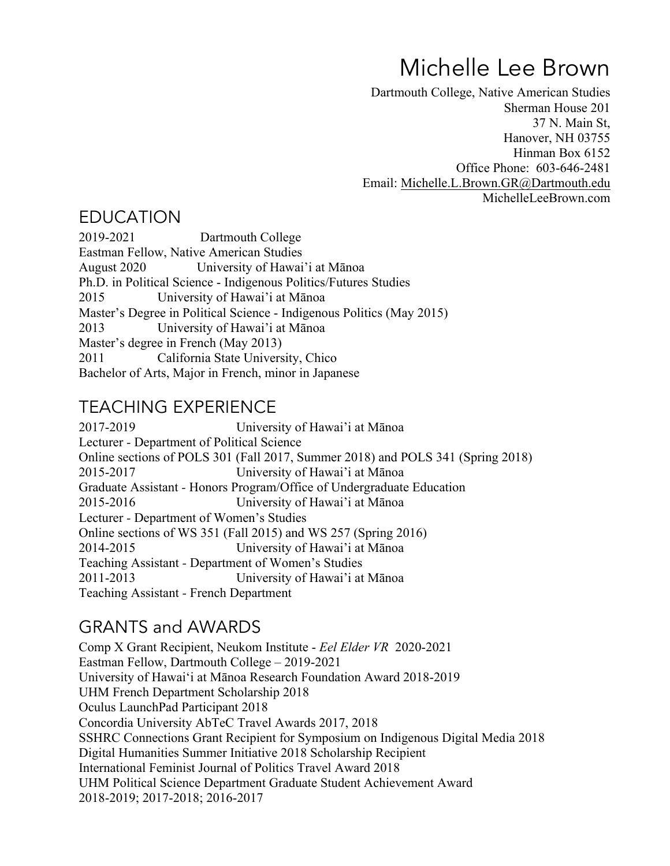# Michelle Lee Brown

Dartmouth College, Native American Studies Sherman House 201 37 N. Main St, Hanover, NH 03755 Hinman Box 6152 Office Phone: 603-646-2481 Email: Michelle.L.Brown.GR@Dartmouth.edu MichelleLeeBrown.com

### EDUCATION

2019-2021 Dartmouth College Eastman Fellow, Native American Studies August 2020 University of Hawai'i at Mānoa Ph.D. in Political Science - Indigenous Politics/Futures Studies 2015 University of Hawai'i at Mānoa Master's Degree in Political Science - Indigenous Politics (May 2015) 2013 University of Hawai'i at Mānoa Master's degree in French (May 2013) 2011 California State University, Chico Bachelor of Arts, Major in French, minor in Japanese

### TEACHING EXPERIENCE

2017-2019 University of Hawai'i at Mānoa Lecturer *-* Department of Political Science Online sections of POLS 301 (Fall 2017, Summer 2018) and POLS 341 (Spring 2018) 2015-2017 University of Hawai'i at Mānoa Graduate Assistant *-* Honors Program/Office of Undergraduate Education 2015-2016 University of Hawai'i at Mānoa Lecturer *-* Department of Women's Studies Online sections of WS 351 (Fall 2015) and WS 257 (Spring 2016) 2014-2015 University of Hawai'i at Mānoa Teaching Assistant *-* Department of Women's Studies 2011-2013 University of Hawai'i at Mānoa Teaching Assistant *-* French Department

### GRANTS and AWARDS

Comp X Grant Recipient, Neukom Institute - *Eel Elder VR* 2020-2021 Eastman Fellow, Dartmouth College – 2019-2021 University of Hawaiʻi at Mānoa Research Foundation Award 2018-2019 UHM French Department Scholarship 2018 Oculus LaunchPad Participant 2018 Concordia University AbTeC Travel Awards 2017, 2018 SSHRC Connections Grant Recipient for Symposium on Indigenous Digital Media 2018 Digital Humanities Summer Initiative 2018 Scholarship Recipient International Feminist Journal of Politics Travel Award 2018 UHM Political Science Department Graduate Student Achievement Award 2018-2019; 2017-2018; 2016-2017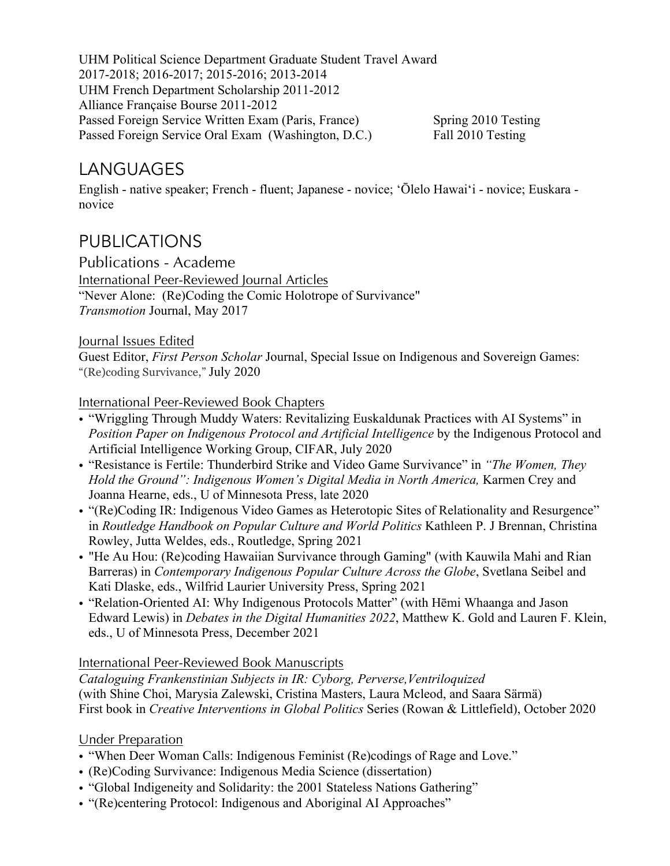UHM Political Science Department Graduate Student Travel Award 2017-2018; 2016-2017; 2015-2016; 2013-2014 UHM French Department Scholarship 2011-2012 Alliance Française Bourse 2011-2012 Passed Foreign Service Written Exam (Paris, France) Spring 2010 Testing Passed Foreign Service Oral Exam (Washington, D.C.) Fall 2010 Testing

# **LANGUAGES**

English - native speaker; French - fluent; Japanese - novice; ʻŌlelo Hawaiʻi - novice; Euskara novice

### PUBLICATIONS

Publications - Academe International Peer-Reviewed Journal Articles "Never Alone: (Re)Coding the Comic Holotrope of Survivance" *Transmotion* Journal, May 2017

Journal Issues Edited

Guest Editor, *First Person Scholar* Journal, Special Issue on Indigenous and Sovereign Games: "(Re)coding Survivance," July 2020

#### International Peer-Reviewed Book Chapters

- "Wriggling Through Muddy Waters: Revitalizing Euskaldunak Practices with AI Systems" in *Position Paper on Indigenous Protocol and Artificial Intelligence* by the Indigenous Protocol and Artificial Intelligence Working Group, CIFAR, July 2020
- "Resistance is Fertile: Thunderbird Strike and Video Game Survivance" in *"The Women, They Hold the Ground": Indigenous Women's Digital Media in North America,* Karmen Crey and Joanna Hearne, eds., U of Minnesota Press, late 2020
- "(Re)Coding IR: Indigenous Video Games as Heterotopic Sites of Relationality and Resurgence" in *Routledge Handbook on Popular Culture and World Politics* Kathleen P. J Brennan, Christina Rowley, Jutta Weldes, eds., Routledge, Spring 2021
- "He Au Hou: (Re)coding Hawaiian Survivance through Gaming" (with Kauwila Mahi and Rian Barreras) in *Contemporary Indigenous Popular Culture Across the Globe*, Svetlana Seibel and Kati Dlaske, eds., Wilfrid Laurier University Press, Spring 2021
- "Relation-Oriented AI: Why Indigenous Protocols Matter" (with Hēmi Whaanga and Jason Edward Lewis) in *Debates in the Digital Humanities 2022*, Matthew K. Gold and Lauren F. Klein, eds., U of Minnesota Press, December 2021

#### International Peer-Reviewed Book Manuscripts

*Cataloguing Frankenstinian Subjects in IR: Cyborg, Perverse,Ventriloquized* (with Shine Choi, Marysia Zalewski, Cristina Masters, Laura Mcleod, and Saara Särmä) First book in *Creative Interventions in Global Politics* Series (Rowan & Littlefield), October 2020

#### Under Preparation

- "When Deer Woman Calls: Indigenous Feminist (Re)codings of Rage and Love."
- (Re)Coding Survivance: Indigenous Media Science (dissertation)
- "Global Indigeneity and Solidarity: the 2001 Stateless Nations Gathering"
- "(Re)centering Protocol: Indigenous and Aboriginal AI Approaches"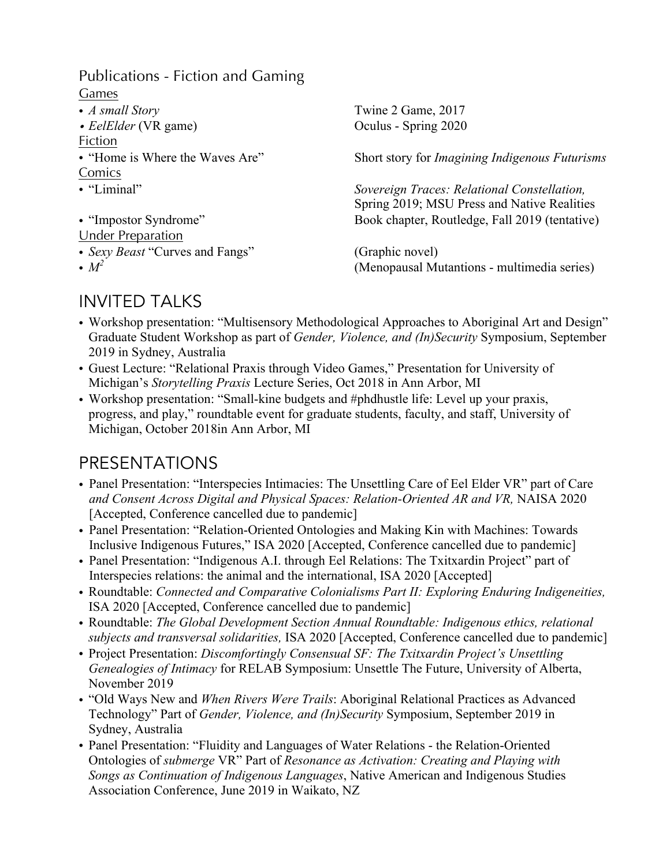#### Publications - Fiction and Gaming Games

• *A small Story* Twine 2 Game, 2017 • *EelElder* (VR game) Oculus - Spring 2020 Fiction Comics

Under Preparation

- *Sexy Beast* "Curves and Fangs" (Graphic novel)
- 

• "Home is Where the Waves Are" Short story for *Imagining Indigenous Futurisms*

• "Liminal" *Sovereign Traces: Relational Constellation,* Spring 2019; MSU Press and Native Realities • "Impostor Syndrome" Book chapter, Routledge, Fall 2019 (tentative)

•  $M^2$  (Menopausal Mutantions - multimedia series)

### INVITED TALKS

- Workshop presentation: "Multisensory Methodological Approaches to Aboriginal Art and Design" Graduate Student Workshop as part of *Gender, Violence, and (In)Security* Symposium, September 2019 in Sydney, Australia
- Guest Lecture: "Relational Praxis through Video Games," Presentation for University of Michigan's *Storytelling Praxis* Lecture Series, Oct 2018 in Ann Arbor, MI
- Workshop presentation: "Small-kine budgets and #phdhustle life: Level up your praxis, progress, and play," roundtable event for graduate students, faculty, and staff, University of Michigan, October 2018in Ann Arbor, MI

# PRESENTATIONS

- Panel Presentation: "Interspecies Intimacies: The Unsettling Care of Eel Elder VR" part of Care *and Consent Across Digital and Physical Spaces: Relation-Oriented AR and VR,* NAISA 2020 [Accepted, Conference cancelled due to pandemic]
- Panel Presentation: "Relation-Oriented Ontologies and Making Kin with Machines: Towards Inclusive Indigenous Futures," ISA 2020 [Accepted, Conference cancelled due to pandemic]
- Panel Presentation: "Indigenous A.I. through Eel Relations: The Txitxardin Project" part of Interspecies relations: the animal and the international, ISA 2020 [Accepted]
- Roundtable: *Connected and Comparative Colonialisms Part II: Exploring Enduring Indigeneities,* ISA 2020 [Accepted, Conference cancelled due to pandemic]
- Roundtable: *The Global Development Section Annual Roundtable: Indigenous ethics, relational subjects and transversal solidarities,* ISA 2020 [Accepted, Conference cancelled due to pandemic]
- Project Presentation: *Discomfortingly Consensual SF: The Txitxardin Project's Unsettling Genealogies of Intimacy* for RELAB Symposium: Unsettle The Future, University of Alberta, November 2019
- "Old Ways New and *When Rivers Were Trails*: Aboriginal Relational Practices as Advanced Technology" Part of *Gender, Violence, and (In)Security* Symposium, September 2019 in Sydney, Australia
- Panel Presentation: "Fluidity and Languages of Water Relations the Relation-Oriented Ontologies of *submerge* VR" Part of *Resonance as Activation: Creating and Playing with Songs as Continuation of Indigenous Languages*, Native American and Indigenous Studies Association Conference, June 2019 in Waikato, NZ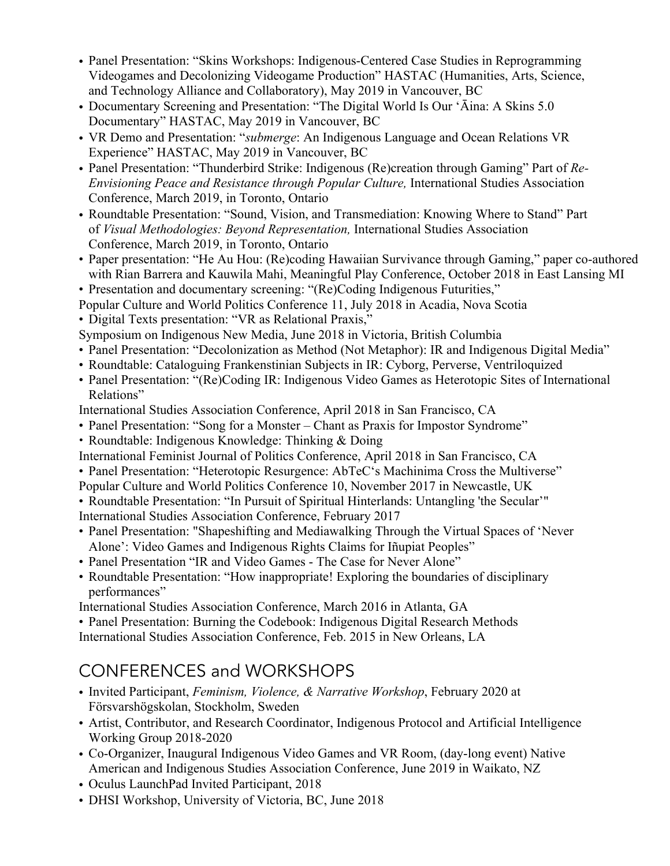- Panel Presentation: "Skins Workshops: Indigenous-Centered Case Studies in Reprogramming Videogames and Decolonizing Videogame Production" HASTAC (Humanities, Arts, Science, and Technology Alliance and Collaboratory), May 2019 in Vancouver, BC
- Documentary Screening and Presentation: "The Digital World Is Our 'Aina: A Skins 5.0 Documentary" HASTAC, May 2019 in Vancouver, BC
- VR Demo and Presentation: "*submerge*: An Indigenous Language and Ocean Relations VR Experience" HASTAC, May 2019 in Vancouver, BC
- Panel Presentation: "Thunderbird Strike: Indigenous (Re)creation through Gaming" Part of *Re-Envisioning Peace and Resistance through Popular Culture,* International Studies Association Conference, March 2019, in Toronto, Ontario
- Roundtable Presentation: "Sound, Vision, and Transmediation: Knowing Where to Stand" Part of *Visual Methodologies: Beyond Representation,* International Studies Association Conference, March 2019, in Toronto, Ontario
- Paper presentation: "He Au Hou: (Re)coding Hawaiian Survivance through Gaming," paper co-authored with Rian Barrera and Kauwila Mahi, Meaningful Play Conference, October 2018 in East Lansing MI
- Presentation and documentary screening: "(Re)Coding Indigenous Futurities,"
- Popular Culture and World Politics Conference 11, July 2018 in Acadia, Nova Scotia
- Digital Texts presentation: "VR as Relational Praxis,"

Symposium on Indigenous New Media, June 2018 in Victoria, British Columbia

- Panel Presentation: "Decolonization as Method (Not Metaphor): IR and Indigenous Digital Media"
- Roundtable: Cataloguing Frankenstinian Subjects in IR: Cyborg, Perverse, Ventriloquized
- Panel Presentation: "(Re)Coding IR: Indigenous Video Games as Heterotopic Sites of International Relations"

International Studies Association Conference, April 2018 in San Francisco, CA

- Panel Presentation: "Song for a Monster Chant as Praxis for Impostor Syndrome"
- Roundtable: Indigenous Knowledge: Thinking & Doing

International Feminist Journal of Politics Conference, April 2018 in San Francisco, CA

- Panel Presentation: "Heterotopic Resurgence: AbTeC's Machinima Cross the Multiverse"
- Popular Culture and World Politics Conference 10, November 2017 in Newcastle, UK

• Roundtable Presentation: "In Pursuit of Spiritual Hinterlands: Untangling 'the Secular'" International Studies Association Conference, February 2017

- Panel Presentation: "Shapeshifting and Mediawalking Through the Virtual Spaces of 'Never Alone': Video Games and Indigenous Rights Claims for Iñupiat Peoples"
- Panel Presentation "IR and Video Games The Case for Never Alone"
- Roundtable Presentation: "How inappropriate! Exploring the boundaries of disciplinary performances"

International Studies Association Conference, March 2016 in Atlanta, GA

• Panel Presentation: Burning the Codebook: Indigenous Digital Research Methods

International Studies Association Conference, Feb. 2015 in New Orleans, LA

# CONFERENCES and WORKSHOPS

- Invited Participant, *Feminism, Violence, & Narrative Workshop*, February 2020 at Försvarshögskolan, Stockholm, Sweden
- Artist, Contributor, and Research Coordinator, Indigenous Protocol and Artificial Intelligence Working Group 2018-2020
- Co-Organizer, Inaugural Indigenous Video Games and VR Room, (day-long event) Native American and Indigenous Studies Association Conference, June 2019 in Waikato, NZ
- Oculus LaunchPad Invited Participant, 2018
- DHSI Workshop, University of Victoria, BC, June 2018